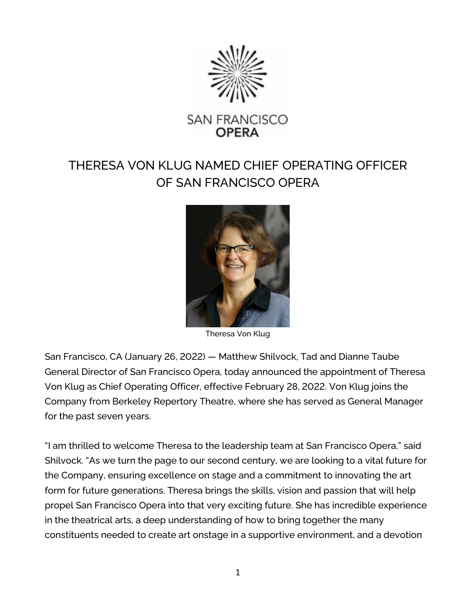

## THERESA VON KLUG NAMED CHIEF OPERATING OFFICER OF SAN FRANCISCO OPERA



Theresa Von Klug

San Francisco, CA (January 26, 2022) — Matthew Shilvock, Tad and Dianne Taube General Director of San Francisco Opera, today announced the appointment of Theresa Von Klug as Chief Operating Officer, effective February 28, 2022. Von Klug joins the Company from Berkeley Repertory Theatre, where she has served as General Manager for the past seven years.

"I am thrilled to welcome Theresa to the leadership team at San Francisco Opera," said Shilvock. "As we turn the page to our second century, we are looking to a vital future for the Company, ensuring excellence on stage and a commitment to innovating the art form for future generations. Theresa brings the skills, vision and passion that will help propel San Francisco Opera into that very exciting future. She has incredible experience in the theatrical arts, a deep understanding of how to bring together the many constituents needed to create art onstage in a supportive environment, and a devotion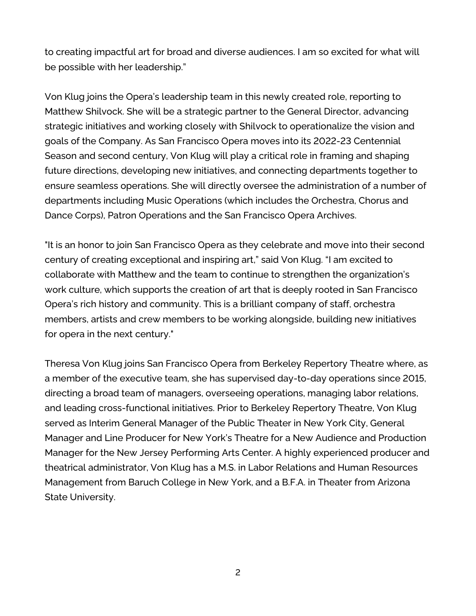to creating impactful art for broad and diverse audiences. I am so excited for what will be possible with her leadership."

Von Klug joins the Opera's leadership team in this newly created role, reporting to Matthew Shilvock. She will be a strategic partner to the General Director, advancing strategic initiatives and working closely with Shilvock to operationalize the vision and goals of the Company. As San Francisco Opera moves into its 2022-23 Centennial Season and second century, Von Klug will play a critical role in framing and shaping future directions, developing new initiatives, and connecting departments together to ensure seamless operations. She will directly oversee the administration of a number of departments including Music Operations (which includes the Orchestra, Chorus and Dance Corps), Patron Operations and the San Francisco Opera Archives.

"It is an honor to join San Francisco Opera as they celebrate and move into their second century of creating exceptional and inspiring art," said Von Klug. "I am excited to collaborate with Matthew and the team to continue to strengthen the organization's work culture, which supports the creation of art that is deeply rooted in San Francisco Opera's rich history and community. This is a brilliant company of staff, orchestra members, artists and crew members to be working alongside, building new initiatives for opera in the next century."

Theresa Von Klug joins San Francisco Opera from Berkeley Repertory Theatre where, as a member of the executive team, she has supervised day-to-day operations since 2015, directing a broad team of managers, overseeing operations, managing labor relations, and leading cross-functional initiatives. Prior to Berkeley Repertory Theatre, Von Klug served as Interim General Manager of the Public Theater in New York City, General Manager and Line Producer for New York's Theatre for a New Audience and Production Manager for the New Jersey Performing Arts Center. A highly experienced producer and theatrical administrator, Von Klug has a M.S. in Labor Relations and Human Resources Management from Baruch College in New York, and a B.F.A. in Theater from Arizona State University.

2